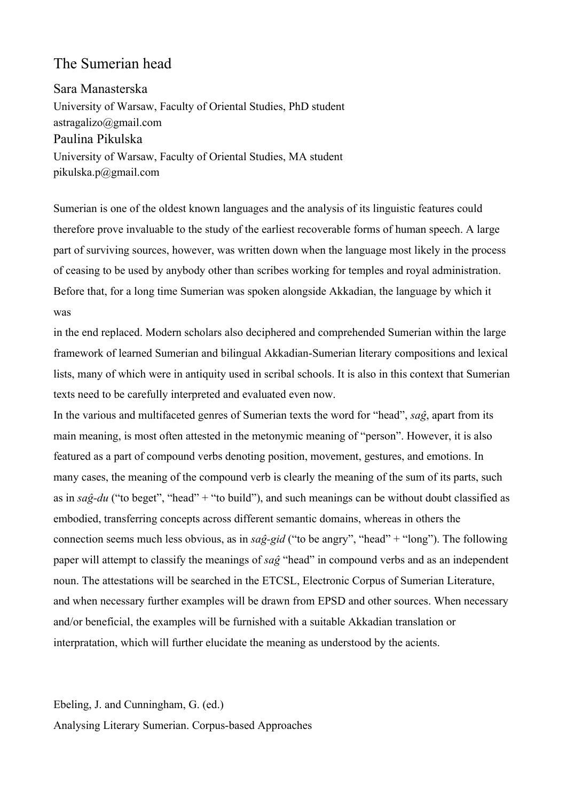## The Sumerian head

Sara Manasterska University of Warsaw, Faculty of Oriental Studies, PhD student astragalizo@gmail.com Paulina Pikulska University of Warsaw, Faculty of Oriental Studies, MA student pikulska.p@gmail.com

Sumerian is one of the oldest known languages and the analysis of its linguistic features could therefore prove invaluable to the study of the earliest recoverable forms of human speech. A large part of surviving sources, however, was written down when the language most likely in the process of ceasing to be used by anybody other than scribes working for temples and royal administration. Before that, for a long time Sumerian was spoken alongside Akkadian, the language by which it was

in the end replaced. Modern scholars also deciphered and comprehended Sumerian within the large framework of learned Sumerian and bilingual Akkadian-Sumerian literary compositions and lexical lists, many of which were in antiquity used in scribal schools. It is also in this context that Sumerian texts need to be carefully interpreted and evaluated even now.

In the various and multifaceted genres of Sumerian texts the word for "head", *saĝ*, apart from its main meaning, is most often attested in the metonymic meaning of "person". However, it is also featured as a part of compound verbs denoting position, movement, gestures, and emotions. In many cases, the meaning of the compound verb is clearly the meaning of the sum of its parts, such as in  $sa\hat{g}$ -du ("to beget", "head" + "to build"), and such meanings can be without doubt classified as embodied, transferring concepts across different semantic domains, whereas in others the connection seems much less obvious, as in *saĝ-gid* ("to be angry", "head" + "long"). The following paper will attempt to classify the meanings of *saĝ* "head" in compound verbs and as an independent noun. The attestations will be searched in the ETCSL, Electronic Corpus of Sumerian Literature, and when necessary further examples will be drawn from EPSD and other sources. When necessary and/or beneficial, the examples will be furnished with a suitable Akkadian translation or interpratation, which will further elucidate the meaning as understood by the acients.

Ebeling, J. and Cunningham, G. (ed.) Analysing Literary Sumerian. Corpus-based Approaches